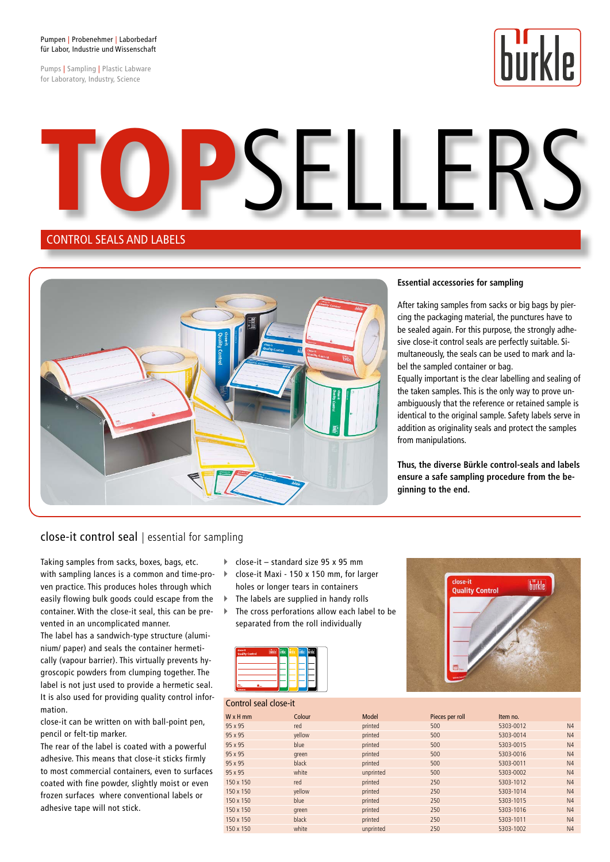#### Pumpen | Probenehmer | Laborbedarf für Labor, Industrie und Wissenschaft

Pumps | Sampling | Plastic Labware for Laboratory, Industry, Science



SELL.

#### CONTROL SEALS AND LABELS



#### **Essential accessories for sampling**

After taking samples from sacks or big bags by piercing the packaging material, the punctures have to be sealed again. For this purpose, the strongly adhesive close-it control seals are perfectly suitable. Simultaneously, the seals can be used to mark and label the sampled container or bag.

Equally important is the clear labelling and sealing of the taken samples. This is the only way to prove unambiguously that the reference or retained sample is identical to the original sample. Safety labels serve in addition as originality seals and protect the samples from manipulations.

**Thus, the diverse Bürkle control-seals and labels ensure a safe sampling procedure from the beginning to the end.**

#### close-it control seal | essential for sampling

Taking samples from sacks, boxes, bags, etc. with sampling lances is a common and time-proven practice. This produces holes through which easily flowing bulk goods could escape from the container. With the close-it seal, this can be prevented in an uncomplicated manner.

The label has a sandwich-type structure (aluminium/ paper) and seals the container hermetically (vapour barrier). This virtually prevents hygroscopic powders from clumping together. The label is not just used to provide a hermetic seal. It is also used for providing quality control information.

close-it can be written on with ball-point pen, pencil or felt-tip marker.

The rear of the label is coated with a powerful adhesive. This means that close-it sticks firmly to most commercial containers, even to surfaces coated with fine powder, slightly moist or even frozen surfaces where conventional labels or adhesive tape will not stick.

- $\triangleright$  close-it standard size 95 x 95 mm
- ▶ close-it Maxi 150 x 150 mm, for larger holes or longer tears in containers
- $\blacktriangleright$  The labels are supplied in handy rolls
- $\blacktriangleright$  The cross perforations allow each label to be separated from the roll individually





#### Control seal close-it W x H mm Colour Colour Model Pieces per roll Item no. 95 x 95 red printed 500 5303-0012 N4 95 x 95 yellow printed 500 5303-0014 N4 95 x 95 blue printed 500 5303-0015 N4 95 x 95 green printed 500 5303-0016 N4 95 x 95 black printed 500 5303-0011 N4 95 x 95 white unprinted 500 5303-0002 N4 150 x 150 red printed 250 5303-1012 N4 150 x 150 yellow printed 250 5303-1014 N4 150 x 150 blue blue printed 250 5303-1015 N4 150 x 150 green printed 250 5303-1016 N4 150 x 150 black printed 250 5303-1011 N4 150 x 150 white unprinted 250 5303-1002 N4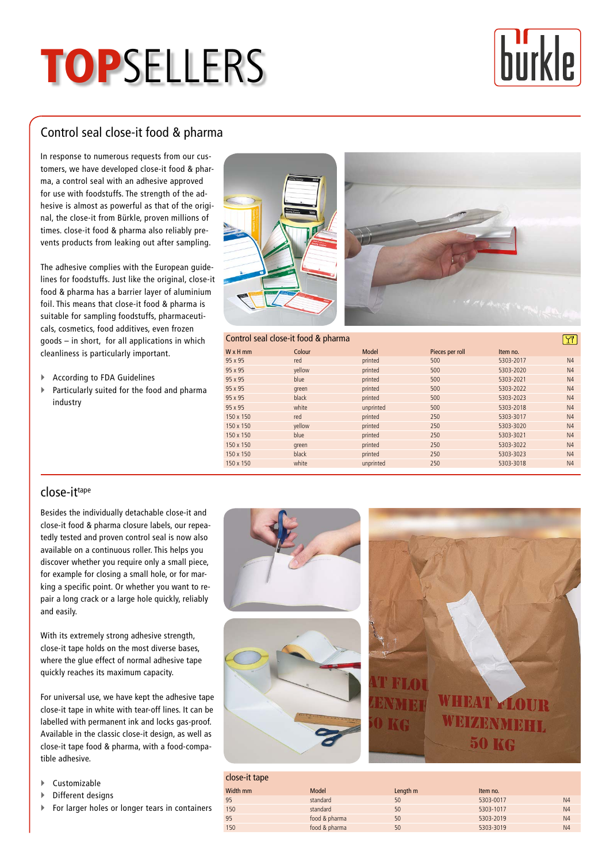## **TOPSELLERS**



## Control seal close-it food & pharma

In response to numerous requests from our customers, we have developed close-it food & pharma, a control seal with an adhesive approved for use with foodstuffs. The strength of the adhesive is almost as powerful as that of the original, the close-it from Bürkle, proven millions of times. close-it food & pharma also reliably prevents products from leaking out after sampling.

The adhesive complies with the European guidelines for foodstuffs. Just like the original, close-it food & pharma has a barrier layer of aluminium foil. This means that close-it food & pharma is suitable for sampling foodstuffs, pharmaceuticals, cosmetics, food additives, even frozen goods – in short, for all applications in which cleanliness is particularly important.

- $\blacktriangleright$  According to FDA Guidelines
- $\blacktriangleright$  Particularly suited for the food and pharma industry





#### Control seal close-it food & pharma

| CUITTUI SEALCIUSE-IL IUUU & PITAITHA |        |           |                 |           |                |  |
|--------------------------------------|--------|-----------|-----------------|-----------|----------------|--|
| $W \times H$ mm                      | Colour | Model     | Pieces per roll | Item no.  |                |  |
| 95 x 95                              | red    | printed   | 500             | 5303-2017 | N4             |  |
| 95 x 95                              | yellow | printed   | 500             | 5303-2020 | N <sub>4</sub> |  |
| 95 x 95                              | blue   | printed   | 500             | 5303-2021 | N <sub>4</sub> |  |
| 95 x 95                              | green  | printed   | 500             | 5303-2022 | N <sub>4</sub> |  |
| $95 \times 95$                       | black  | printed   | 500             | 5303-2023 | N <sub>4</sub> |  |
| 95 x 95                              | white  | unprinted | 500             | 5303-2018 | N <sub>4</sub> |  |
| 150 x 150                            | red    | printed   | 250             | 5303-3017 | N <sub>4</sub> |  |
| 150 x 150                            | yellow | printed   | 250             | 5303-3020 | N <sub>4</sub> |  |
| 150 x 150                            | blue   | printed   | 250             | 5303-3021 | N <sub>4</sub> |  |
| 150 x 150                            | green  | printed   | 250             | 5303-3022 | N <sub>4</sub> |  |
| 150 x 150                            | black  | printed   | 250             | 5303-3023 | N <sub>4</sub> |  |
| 150 x 150                            | white  | unprinted | 250             | 5303-3018 | N <sub>4</sub> |  |
|                                      |        |           |                 |           |                |  |

#### close-ittape

Besides the individually detachable close-it and close-it food & pharma closure labels, our repeatedly tested and proven control seal is now also available on a continuous roller. This helps you discover whether you require only a small piece, for example for closing a small hole, or for marking a specific point. Or whether you want to repair a long crack or a large hole quickly, reliably and easily.

With its extremely strong adhesive strength, close-it tape holds on the most diverse bases, where the glue effect of normal adhesive tape quickly reaches its maximum capacity.

For universal use, we have kept the adhesive tape close-it tape in white with tear-off lines. It can be labelled with permanent ink and locks gas-proof. Available in the classic close-it design, as well as close-it tape food & pharma, with a food-compatible adhesive.

- $\blacktriangleright$  Customizable
- $\blacktriangleright$  Different designs
- ▶ For larger holes or longer tears in containers



| close-it tape |               |          |           |                |
|---------------|---------------|----------|-----------|----------------|
| Width mm      | Model         | Length m | Item no.  |                |
| 95            | standard      | 50       | 5303-0017 | N <sub>4</sub> |
| 150           | standard      | 50       | 5303-1017 | N <sub>4</sub> |
| 95            | food & pharma | 50       | 5303-2019 | N <sub>4</sub> |
| 150           | food & pharma | 50       | 5303-3019 | N <sub>4</sub> |
|               |               |          |           |                |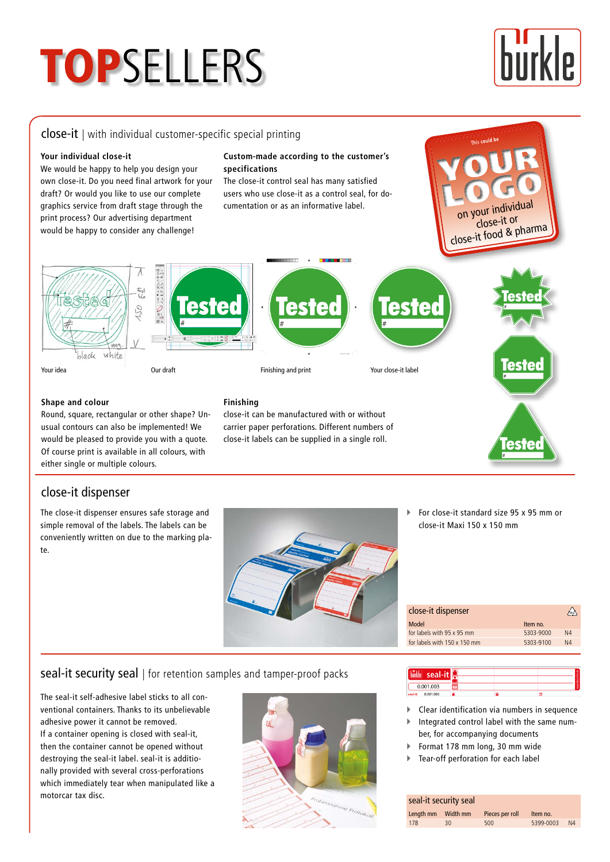# **TOPSELLERS**

# |p

#### close-it | with individual customer-specific special printing

#### **Your individual close-it**

We would be happy to help you design your own close-it. Do you need final artwork for your draft? Or would you like to use our complete graphics service from draft stage through the print process? Our advertising department would be happy to consider any challenge!

#### **Custom-made according to the customer's specifications**

The close-it control seal has many satisfied users who use close-it as a control seal, for documentation or as an informative label.

on your individua<sup>l</sup> close-it or close-it food & pharma

**lester** 

This could be









#### **Shape and colour**

close-it dispenser

te.

Round, square, rectangular or other shape? Unusual contours can also be implemented! We would be pleased to provide you with a quote. Of course print is available in all colours, with either single or multiple colours.

The close-it dispenser ensures safe storage and simple removal of the labels. The labels can be conveniently written on due to the marking pla-

#### **Finishing**

close-it can be manufactured with or without carrier paper perforations. Different numbers of close-it labels can be supplied in a single roll.



| close-it dispenser           |           |                |  |  |
|------------------------------|-----------|----------------|--|--|
| Model                        | Item no.  |                |  |  |
| for labels with 95 x 95 mm   | 5303-9000 | N <sub>4</sub> |  |  |
| for labels with 150 x 150 mm | 5303-9100 | N <sub>4</sub> |  |  |

#### seal-it security seal | for retention samples and tamper-proof packs

The seal-it self-adhesive label sticks to all conventional containers. Thanks to its unbelievable adhesive power it cannot be removed. If a container opening is closed with seal-it, then the container cannot be opened without destroying the seal-it label. seal-it is additionally provided with several cross-perforations which immediately tear when manipulated like a motorcar tax disc.



| seal-i               |  |  |
|----------------------|--|--|
| 0.001.003            |  |  |
| 0.001.003<br>seal-it |  |  |

- $\blacktriangleright$  Clear identification via numbers in sequence
- ` Integrated control label with the same number, for accompanying documents
- ▶ Format 178 mm long, 30 mm wide
- ` Tear-off perforation for each label

#### seal-it security seal

|     |    | Pieces per roll | Item no.  |                |
|-----|----|-----------------|-----------|----------------|
| 178 | 30 | 500             | 5399-0003 | N <sub>4</sub> |